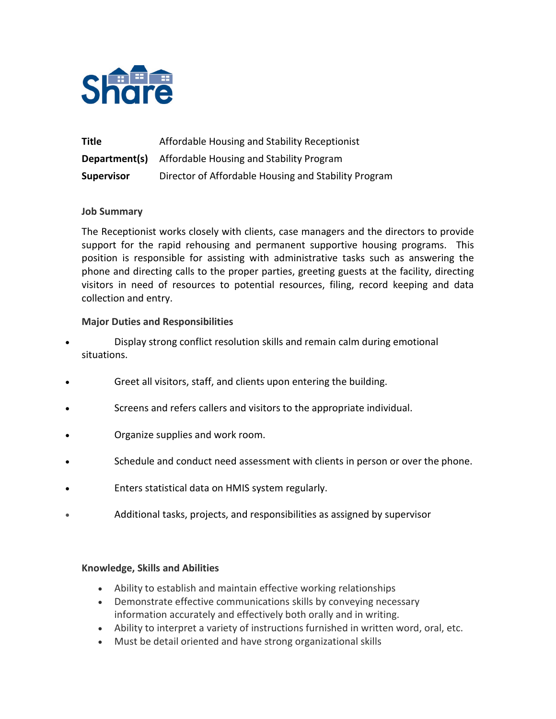

| Title             | Affordable Housing and Stability Receptionist        |
|-------------------|------------------------------------------------------|
| Department(s)     | Affordable Housing and Stability Program             |
| <b>Supervisor</b> | Director of Affordable Housing and Stability Program |

## **Job Summary**

The Receptionist works closely with clients, case managers and the directors to provide support for the rapid rehousing and permanent supportive housing programs. This position is responsible for assisting with administrative tasks such as answering the phone and directing calls to the proper parties, greeting guests at the facility, directing visitors in need of resources to potential resources, filing, record keeping and data collection and entry.

## **Major Duties and Responsibilities**

- Display strong conflict resolution skills and remain calm during emotional situations.
- Greet all visitors, staff, and clients upon entering the building.
- Screens and refers callers and visitors to the appropriate individual.
- Organize supplies and work room.
- Schedule and conduct need assessment with clients in person or over the phone.
- Enters statistical data on HMIS system regularly.
- Additional tasks, projects, and responsibilities as assigned by supervisor

### **Knowledge, Skills and Abilities**

- Ability to establish and maintain effective working relationships
- Demonstrate effective communications skills by conveying necessary information accurately and effectively both orally and in writing.
- Ability to interpret a variety of instructions furnished in written word, oral, etc.
- Must be detail oriented and have strong organizational skills